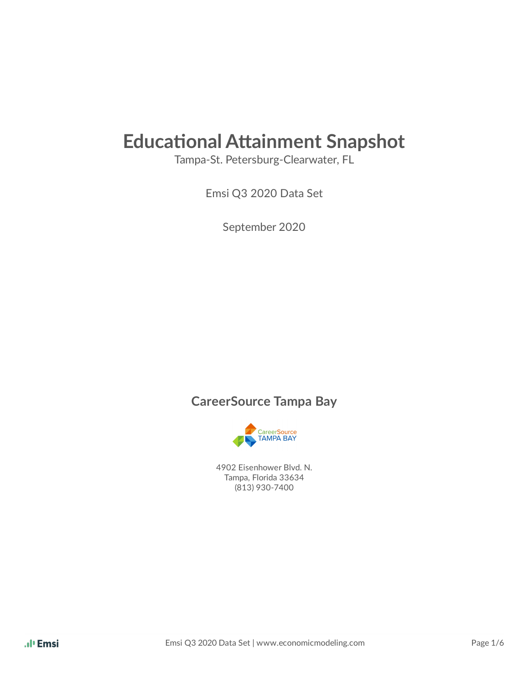# **Educational Attainment Snapshot**

Tampa-St. Petersburg-Clearwater, FL

Emsi Q3 2020 Data Set

September 2020

#### **CareerSource Tampa Bay**



 4902 Eisenhower Blvd. N. Tampa, Florida 33634 (813) 930-7400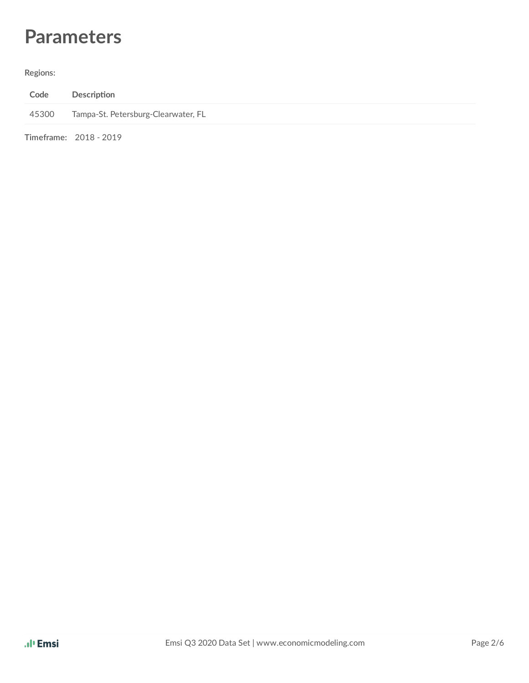## **Parameters**

#### **Regions:**

| Code  | Description                         |
|-------|-------------------------------------|
| 45300 | Tampa-St. Petersburg-Clearwater, FL |
|       | Timeframe: 2018 - 2019              |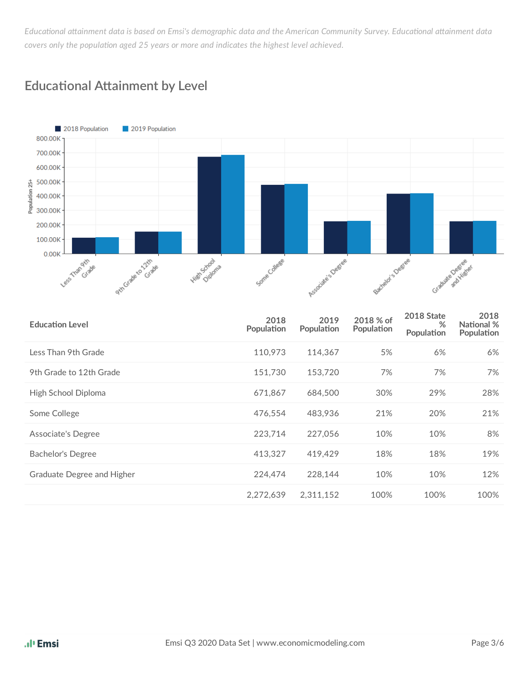Educational attainment data is based on Emsi's demographic data and the American Community Survey. Educational attainment data *covers only the population aged 25 years or more and indicates the highest level achieved.* 



#### **Educational Attainment by Level**

| <b>Education Level</b>     | 2018<br>Population | 2019<br>Population | 2018 % of<br>Population | <b>2018 State</b><br>%<br>Population | 2018<br>National %<br>Population |
|----------------------------|--------------------|--------------------|-------------------------|--------------------------------------|----------------------------------|
| Less Than 9th Grade        | 110,973            | 114,367            | 5%                      | 6%                                   | 6%                               |
| 9th Grade to 12th Grade    | 151,730            | 153,720            | 7%                      | 7%                                   | 7%                               |
| High School Diploma        | 671.867            | 684,500            | 30%                     | 29%                                  | 28%                              |
| Some College               | 476,554            | 483.936            | 21%                     | 20%                                  | 21%                              |
| Associate's Degree         | 223,714            | 227,056            | 10%                     | 10%                                  | 8%                               |
| Bachelor's Degree          | 413,327            | 419.429            | 18%                     | 18%                                  | 19%                              |
| Graduate Degree and Higher | 224,474            | 228,144            | 10%                     | 10%                                  | 12%                              |
|                            | 2,272,639          | 2,311,152          | 100%                    | 100%                                 | 100%                             |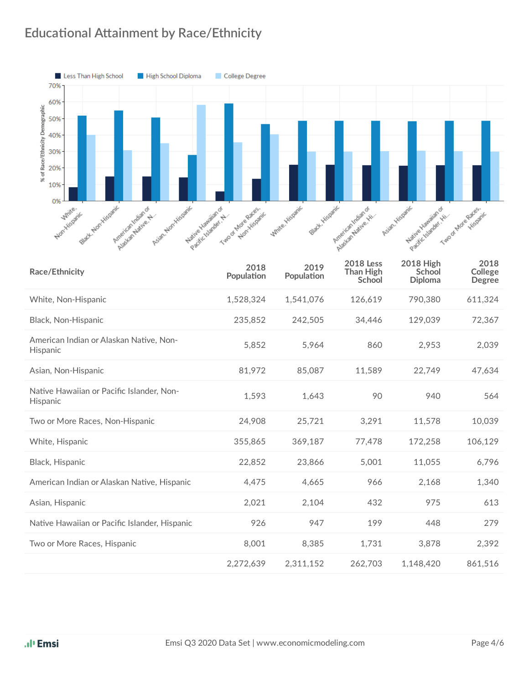### **Educational Attainment by Race/Ethnicity**



| Race/Ethnicity                                        | 2018<br>Population | 2019<br>Population | <b>2018 Less</b><br><b>Than High</b><br>School | <b>2018 High</b><br>School<br><b>Diploma</b> | 2018<br>College<br><b>Degree</b> |
|-------------------------------------------------------|--------------------|--------------------|------------------------------------------------|----------------------------------------------|----------------------------------|
| White, Non-Hispanic                                   | 1,528,324          | 1,541,076          | 126,619                                        | 790,380                                      | 611,324                          |
| Black, Non-Hispanic                                   | 235,852            | 242,505            | 34,446                                         | 129,039                                      | 72,367                           |
| American Indian or Alaskan Native, Non-<br>Hispanic   | 5,852              | 5,964              | 860                                            | 2,953                                        | 2,039                            |
| Asian, Non-Hispanic                                   | 81,972             | 85,087             | 11,589                                         | 22,749                                       | 47,634                           |
| Native Hawaiian or Pacific Islander, Non-<br>Hispanic | 1,593              | 1,643              | 90                                             | 940                                          | 564                              |
| Two or More Races, Non-Hispanic                       | 24,908             | 25,721             | 3,291                                          | 11,578                                       | 10,039                           |
| White, Hispanic                                       | 355,865            | 369,187            | 77,478                                         | 172,258                                      | 106,129                          |
| Black, Hispanic                                       | 22,852             | 23,866             | 5,001                                          | 11,055                                       | 6,796                            |
| American Indian or Alaskan Native, Hispanic           | 4,475              | 4,665              | 966                                            | 2,168                                        | 1,340                            |
| Asian, Hispanic                                       | 2,021              | 2,104              | 432                                            | 975                                          | 613                              |
| Native Hawaiian or Pacific Islander, Hispanic         | 926                | 947                | 199                                            | 448                                          | 279                              |
| Two or More Races, Hispanic                           | 8,001              | 8,385              | 1,731                                          | 3,878                                        | 2,392                            |
|                                                       | 2,272,639          | 2,311,152          | 262,703                                        | 1,148,420                                    | 861,516                          |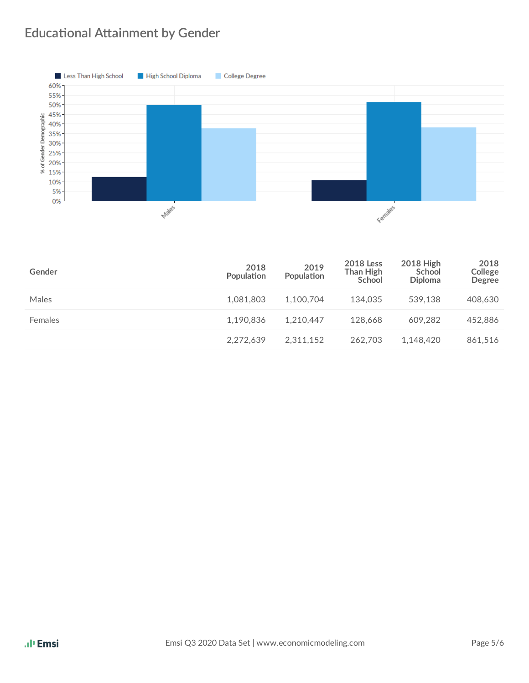#### **Educational Attainment by Gender**



| Gender  | 2018<br>Population | 2019<br>Population | <b>2018</b> Less<br>Than High<br>School | <b>2018 High</b><br>School<br><b>Diploma</b> | 2018<br>College<br><b>Degree</b> |
|---------|--------------------|--------------------|-----------------------------------------|----------------------------------------------|----------------------------------|
| Males   | 1,081,803          | 1.100.704          | 134.035                                 | 539.138                                      | 408,630                          |
| Females | 1,190,836          | 1.210.447          | 128.668                                 | 609.282                                      | 452,886                          |
|         | 2,272,639          | 2.311.152          | 262.703                                 | 1,148,420                                    | 861,516                          |